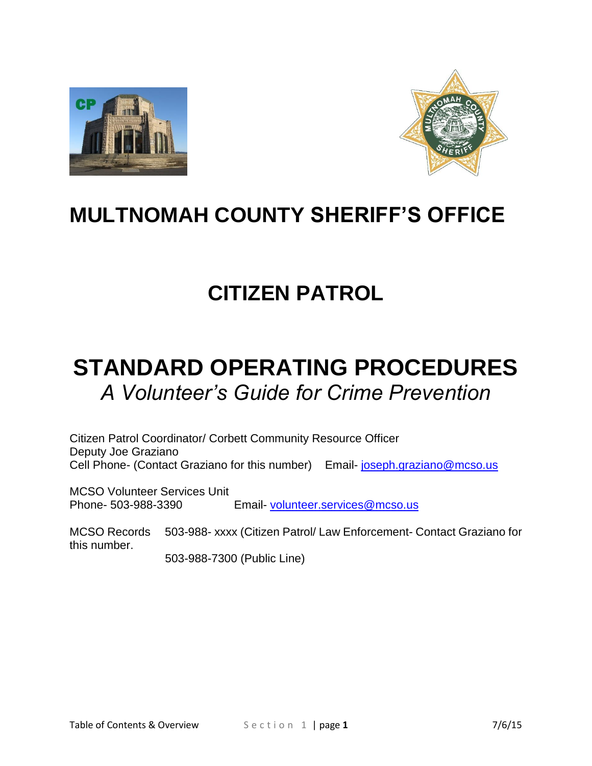



# **MULTNOMAH COUNTY SHERIFF'S OFFICE**

# **CITIZEN PATROL**

# **STANDARD OPERATING PROCEDURES** *A Volunteer's Guide for Crime Prevention*

Citizen Patrol Coordinator/ Corbett Community Resource Officer Deputy Joe Graziano Cell Phone- (Contact Graziano for this number) Email-[joseph.graziano@mcso.us](mailto:joseph.graziano@mcso.us)

MCSO Volunteer Services Unit Phone- 503-988-3390 Email- [volunteer.services@mcso.us](mailto:volunteer.services@mcso.us)

MCSO Records 503-988- xxxx (Citizen Patrol/ Law Enforcement- Contact Graziano for this number.

503-988-7300 (Public Line)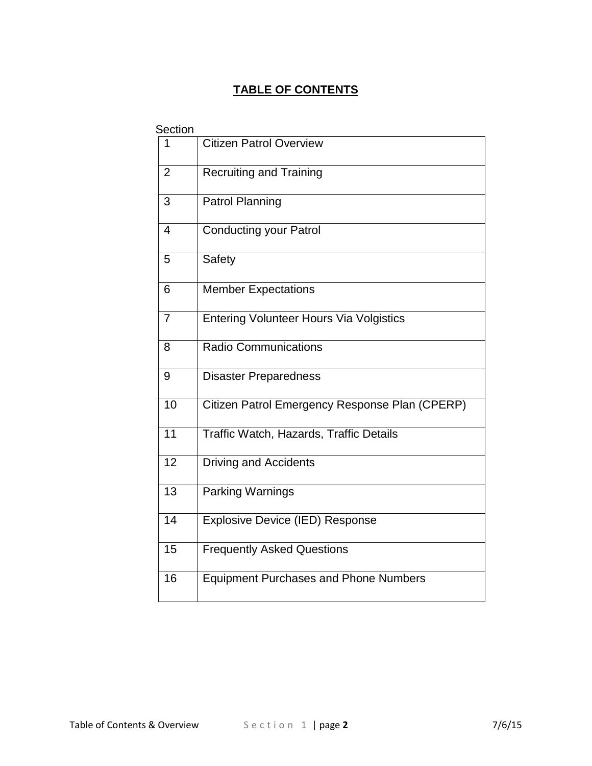### **TABLE OF CONTENTS**

| 1               | <b>Citizen Patrol Overview</b>                 |
|-----------------|------------------------------------------------|
| $\overline{2}$  | <b>Recruiting and Training</b>                 |
| 3               | <b>Patrol Planning</b>                         |
| $\overline{4}$  | <b>Conducting your Patrol</b>                  |
| 5               | Safety                                         |
| 6               | <b>Member Expectations</b>                     |
| $\overline{7}$  | <b>Entering Volunteer Hours Via Volgistics</b> |
| 8               | <b>Radio Communications</b>                    |
| 9               | <b>Disaster Preparedness</b>                   |
| $\overline{10}$ | Citizen Patrol Emergency Response Plan (CPERP) |
| 11              | Traffic Watch, Hazards, Traffic Details        |
| 12              | Driving and Accidents                          |
| 13              | <b>Parking Warnings</b>                        |
| 14              | <b>Explosive Device (IED) Response</b>         |
| 15              | <b>Frequently Asked Questions</b>              |
| 16              | <b>Equipment Purchases and Phone Numbers</b>   |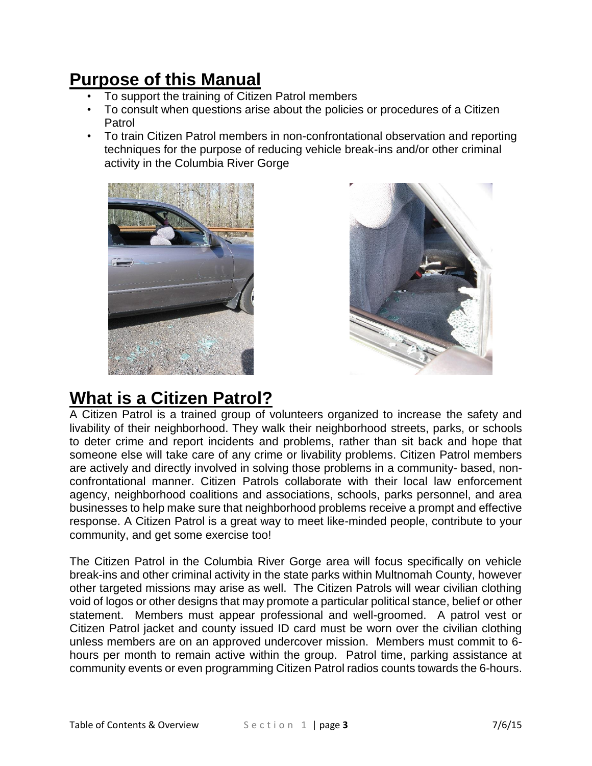## **Purpose of this Manual**

- To support the training of Citizen Patrol members
- To consult when questions arise about the policies or procedures of a Citizen Patrol
- To train Citizen Patrol members in non-confrontational observation and reporting techniques for the purpose of reducing vehicle break-ins and/or other criminal activity in the Columbia River Gorge





## **What is a Citizen Patrol?**

A Citizen Patrol is a trained group of volunteers organized to increase the safety and livability of their neighborhood. They walk their neighborhood streets, parks, or schools to deter crime and report incidents and problems, rather than sit back and hope that someone else will take care of any crime or livability problems. Citizen Patrol members are actively and directly involved in solving those problems in a community- based, nonconfrontational manner. Citizen Patrols collaborate with their local law enforcement agency, neighborhood coalitions and associations, schools, parks personnel, and area businesses to help make sure that neighborhood problems receive a prompt and effective response. A Citizen Patrol is a great way to meet like-minded people, contribute to your community, and get some exercise too!

The Citizen Patrol in the Columbia River Gorge area will focus specifically on vehicle break-ins and other criminal activity in the state parks within Multnomah County, however other targeted missions may arise as well. The Citizen Patrols will wear civilian clothing void of logos or other designs that may promote a particular political stance, belief or other statement. Members must appear professional and well-groomed. A patrol vest or Citizen Patrol jacket and county issued ID card must be worn over the civilian clothing unless members are on an approved undercover mission. Members must commit to 6 hours per month to remain active within the group. Patrol time, parking assistance at community events or even programming Citizen Patrol radios counts towards the 6-hours.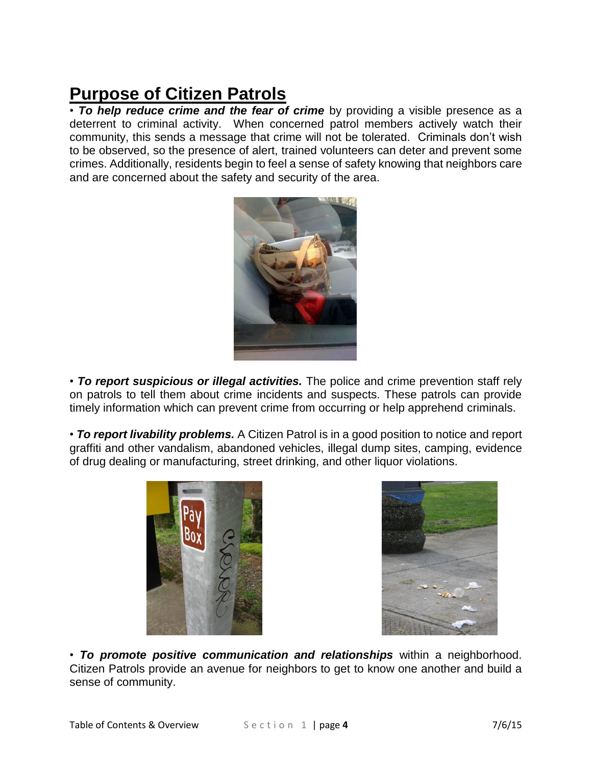## **Purpose of Citizen Patrols**

• *To help reduce crime and the fear of crime* by providing a visible presence as a deterrent to criminal activity. When concerned patrol members actively watch their community, this sends a message that crime will not be tolerated. Criminals don't wish to be observed, so the presence of alert, trained volunteers can deter and prevent some crimes. Additionally, residents begin to feel a sense of safety knowing that neighbors care and are concerned about the safety and security of the area.



• *To report suspicious or illegal activities.* The police and crime prevention staff rely on patrols to tell them about crime incidents and suspects. These patrols can provide timely information which can prevent crime from occurring or help apprehend criminals.

• *To report livability problems.* A Citizen Patrol is in a good position to notice and report graffiti and other vandalism, abandoned vehicles, illegal dump sites, camping, evidence of drug dealing or manufacturing, street drinking, and other liquor violations.





• *To promote positive communication and relationships* within a neighborhood. Citizen Patrols provide an avenue for neighbors to get to know one another and build a sense of community.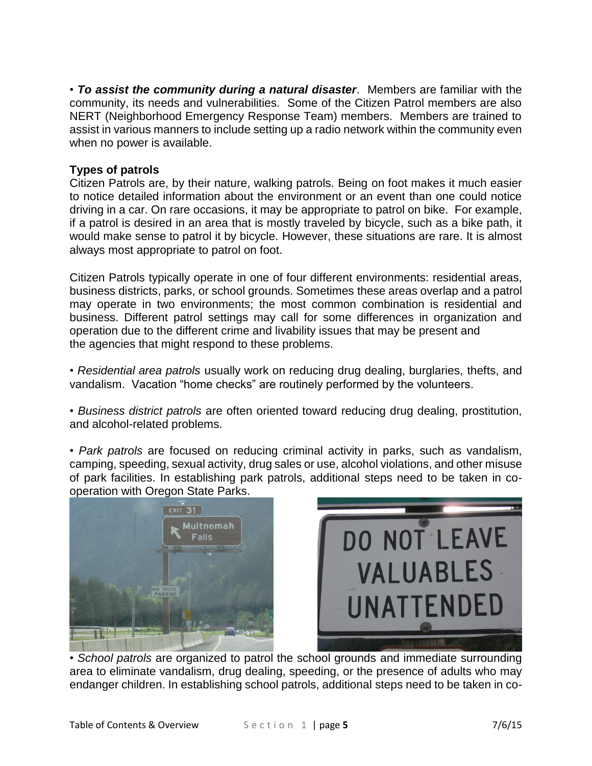• *To assist the community during a natural disaster*. Members are familiar with the community, its needs and vulnerabilities. Some of the Citizen Patrol members are also NERT (Neighborhood Emergency Response Team) members. Members are trained to assist in various manners to include setting up a radio network within the community even when no power is available.

### **Types of patrols**

Citizen Patrols are, by their nature, walking patrols. Being on foot makes it much easier to notice detailed information about the environment or an event than one could notice driving in a car. On rare occasions, it may be appropriate to patrol on bike. For example, if a patrol is desired in an area that is mostly traveled by bicycle, such as a bike path, it would make sense to patrol it by bicycle. However, these situations are rare. It is almost always most appropriate to patrol on foot.

Citizen Patrols typically operate in one of four different environments: residential areas, business districts, parks, or school grounds. Sometimes these areas overlap and a patrol may operate in two environments; the most common combination is residential and business. Different patrol settings may call for some differences in organization and operation due to the different crime and livability issues that may be present and the agencies that might respond to these problems.

• *Residential area patrols* usually work on reducing drug dealing, burglaries, thefts, and vandalism. Vacation "home checks" are routinely performed by the volunteers.

• *Business district patrols* are often oriented toward reducing drug dealing, prostitution, and alcohol-related problems.

• *Park patrols* are focused on reducing criminal activity in parks, such as vandalism, camping, speeding, sexual activity, drug sales or use, alcohol violations, and other misuse of park facilities. In establishing park patrols, additional steps need to be taken in cooperation with Oregon State Parks.





• *School patrols* are organized to patrol the school grounds and immediate surrounding area to eliminate vandalism, drug dealing, speeding, or the presence of adults who may endanger children. In establishing school patrols, additional steps need to be taken in co-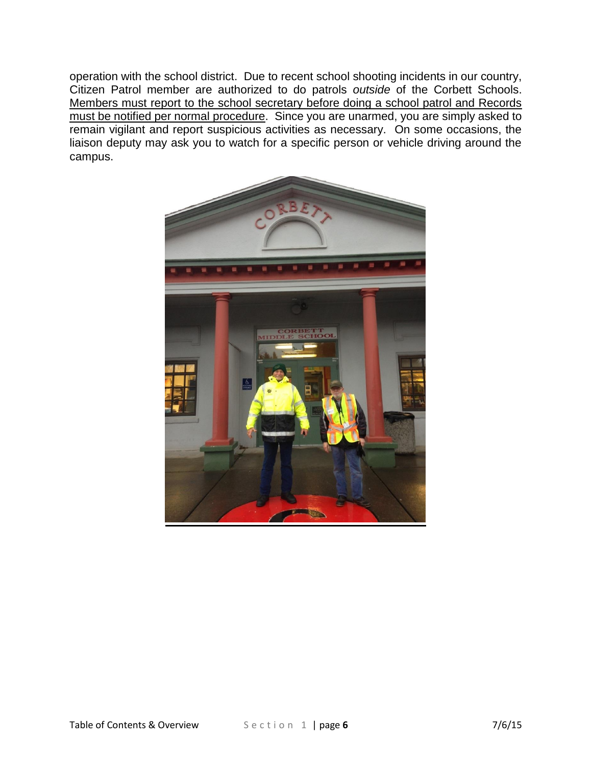operation with the school district. Due to recent school shooting incidents in our country, Citizen Patrol member are authorized to do patrols *outside* of the Corbett Schools. Members must report to the school secretary before doing a school patrol and Records must be notified per normal procedure. Since you are unarmed, you are simply asked to remain vigilant and report suspicious activities as necessary. On some occasions, the liaison deputy may ask you to watch for a specific person or vehicle driving around the campus.

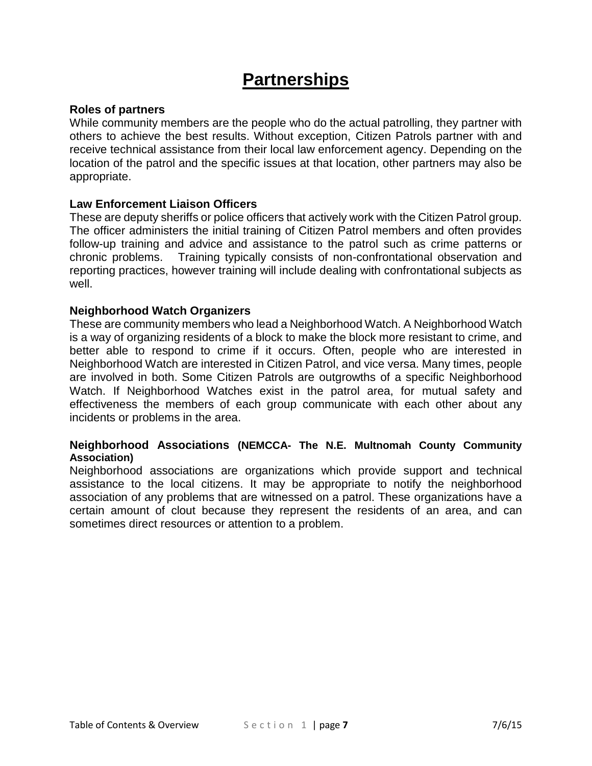### **Partnerships**

### **Roles of partners**

While community members are the people who do the actual patrolling, they partner with others to achieve the best results. Without exception, Citizen Patrols partner with and receive technical assistance from their local law enforcement agency. Depending on the location of the patrol and the specific issues at that location, other partners may also be appropriate.

### **Law Enforcement Liaison Officers**

These are deputy sheriffs or police officers that actively work with the Citizen Patrol group. The officer administers the initial training of Citizen Patrol members and often provides follow-up training and advice and assistance to the patrol such as crime patterns or chronic problems. Training typically consists of non-confrontational observation and reporting practices, however training will include dealing with confrontational subjects as well.

### **Neighborhood Watch Organizers**

These are community members who lead a Neighborhood Watch. A Neighborhood Watch is a way of organizing residents of a block to make the block more resistant to crime, and better able to respond to crime if it occurs. Often, people who are interested in Neighborhood Watch are interested in Citizen Patrol, and vice versa. Many times, people are involved in both. Some Citizen Patrols are outgrowths of a specific Neighborhood Watch. If Neighborhood Watches exist in the patrol area, for mutual safety and effectiveness the members of each group communicate with each other about any incidents or problems in the area.

### **Neighborhood Associations (NEMCCA- The N.E. Multnomah County Community Association)**

Neighborhood associations are organizations which provide support and technical assistance to the local citizens. It may be appropriate to notify the neighborhood association of any problems that are witnessed on a patrol. These organizations have a certain amount of clout because they represent the residents of an area, and can sometimes direct resources or attention to a problem.